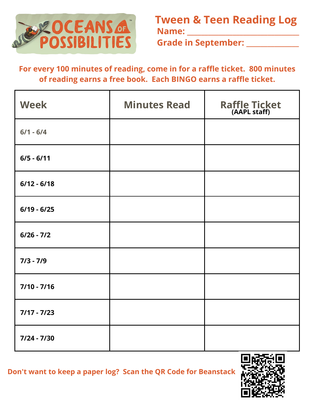

**Tween & Teen Reading Log Name: \_\_\_\_\_\_\_\_\_\_\_\_\_\_\_\_\_\_\_\_\_\_\_\_\_\_\_\_\_\_\_\_**

**Grade in September: \_\_\_\_\_\_\_\_\_\_\_\_\_\_\_**

**For every 100 minutes of reading, come in for a raffle ticket. 800 minutes of reading earns a free book. Each BINGO earns a raffle ticket.**

| <b>Week</b>   | <b>Minutes Read</b> | Raffle Ticket |
|---------------|---------------------|---------------|
| $6/1 - 6/4$   |                     |               |
| $6/5 - 6/11$  |                     |               |
| $6/12 - 6/18$ |                     |               |
| $6/19 - 6/25$ |                     |               |
| $6/26 - 7/2$  |                     |               |
| $7/3 - 7/9$   |                     |               |
| $7/10 - 7/16$ |                     |               |
| $7/17 - 7/23$ |                     |               |
| $7/24 - 7/30$ |                     |               |

**Don't want to keep a paper log? Scan the QR Code for Beanstack**